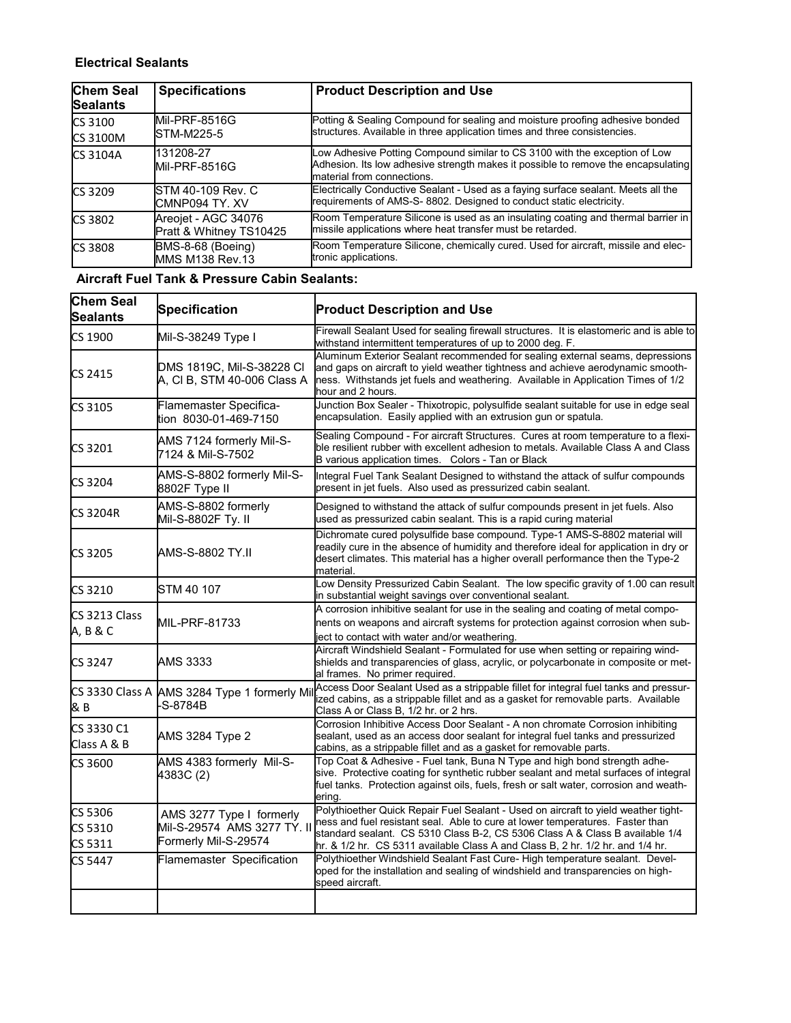## **Electrical Sealants**

| <b>Chem Seal</b> | <b>Specifications</b>                          | <b>Product Description and Use</b>                                                                                                                                                            |
|------------------|------------------------------------------------|-----------------------------------------------------------------------------------------------------------------------------------------------------------------------------------------------|
| <b>Sealants</b>  |                                                |                                                                                                                                                                                               |
| <b>CS 3100</b>   | Mil-PRF-8516G                                  | Potting & Sealing Compound for sealing and moisture proofing adhesive bonded                                                                                                                  |
| <b>CS 3100M</b>  | STM-M225-5                                     | structures. Available in three application times and three consistencies.                                                                                                                     |
| <b>CS 3104A</b>  | 131208-27<br>Mil-PRF-8516G                     | Low Adhesive Potting Compound similar to CS 3100 with the exception of Low<br>Adhesion. Its low adhesive strength makes it possible to remove the encapsulating<br>material from connections. |
| CS 3209          | STM 40-109 Rev. C<br>CMNP094 TY. XV            | Electrically Conductive Sealant - Used as a faying surface sealant. Meets all the<br>requirements of AMS-S-8802. Designed to conduct static electricity.                                      |
| CS 3802          | Areojet - AGC 34076<br>Pratt & Whitney TS10425 | Room Temperature Silicone is used as an insulating coating and thermal barrier in<br>missile applications where heat transfer must be retarded.                                               |
| <b>CS 3808</b>   | BMS-8-68 (Boeing)<br>MMS M138 Rev.13           | Room Temperature Silicone, chemically cured. Used for aircraft, missile and elec-<br>tronic applications.                                                                                     |

## **Aircraft Fuel Tank & Pressure Cabin Sealants:**

| <b>Chem Seal</b><br>Sealants  | Specification                                                                   | <b>Product Description and Use</b>                                                                                                                                                                                                                                                                                                    |
|-------------------------------|---------------------------------------------------------------------------------|---------------------------------------------------------------------------------------------------------------------------------------------------------------------------------------------------------------------------------------------------------------------------------------------------------------------------------------|
| CS 1900                       | Mil-S-38249 Type I                                                              | Firewall Sealant Used for sealing firewall structures. It is elastomeric and is able to<br>withstand intermittent temperatures of up to 2000 deg. F.                                                                                                                                                                                  |
| CS 2415                       | DMS 1819C, Mil-S-38228 CI<br>A, CI B, STM 40-006 Class A                        | Aluminum Exterior Sealant recommended for sealing external seams, depressions<br>and gaps on aircraft to yield weather tightness and achieve aerodynamic smooth-<br>ness. Withstands jet fuels and weathering. Available in Application Times of 1/2<br>hour and 2 hours.                                                             |
| CS 3105                       | Flamemaster Specifica-<br>tion 8030-01-469-7150                                 | Junction Box Sealer - Thixotropic, polysulfide sealant suitable for use in edge seal<br>encapsulation. Easily applied with an extrusion gun or spatula.                                                                                                                                                                               |
| CS 3201                       | AMS 7124 formerly Mil-S-<br>7124 & Mil-S-7502                                   | Sealing Compound - For aircraft Structures. Cures at room temperature to a flexi-<br>ble resilient rubber with excellent adhesion to metals. Available Class A and Class<br>B various application times. Colors - Tan or Black                                                                                                        |
| CS 3204                       | AMS-S-8802 formerly Mil-S-<br>8802F Type II                                     | Integral Fuel Tank Sealant Designed to withstand the attack of sulfur compounds<br>present in jet fuels. Also used as pressurized cabin sealant.                                                                                                                                                                                      |
| <b>CS 3204R</b>               | AMS-S-8802 formerly<br>Mil-S-8802F Ty. II                                       | Designed to withstand the attack of sulfur compounds present in jet fuels. Also<br>used as pressurized cabin sealant. This is a rapid curing material                                                                                                                                                                                 |
| CS 3205                       | AMS-S-8802 TY.II                                                                | Dichromate cured polysulfide base compound. Type-1 AMS-S-8802 material will<br>readily cure in the absence of humidity and therefore ideal for application in dry or<br>desert climates. This material has a higher overall performance then the Type-2<br>material.                                                                  |
| CS 3210                       | STM 40 107                                                                      | Low Density Pressurized Cabin Sealant. The low specific gravity of 1.00 can result<br>in substantial weight savings over conventional sealant.                                                                                                                                                                                        |
| CS 3213 Class<br>A, B & C     | MIL-PRF-81733                                                                   | A corrosion inhibitive sealant for use in the sealing and coating of metal compo-<br>nents on weapons and aircraft systems for protection against corrosion when sub-<br>ject to contact with water and/or weathering.                                                                                                                |
| CS 3247                       | AMS 3333                                                                        | Aircraft Windshield Sealant - Formulated for use when setting or repairing wind-<br>shields and transparencies of glass, acrylic, or polycarbonate in composite or met-<br>al frames. No primer required.                                                                                                                             |
| &B                            | CS 3330 Class A AMS 3284 Type 1 formerly Mil<br>-S-8784B                        | Access Door Sealant Used as a strippable fillet for integral fuel tanks and pressur-<br>ized cabins, as a strippable fillet and as a gasket for removable parts. Available<br>Class A or Class B, 1/2 hr. or 2 hrs.                                                                                                                   |
| CS 3330 C1<br>Class A & B     | AMS 3284 Type 2                                                                 | Corrosion Inhibitive Access Door Sealant - A non chromate Corrosion inhibiting<br>sealant, used as an access door sealant for integral fuel tanks and pressurized<br>cabins, as a strippable fillet and as a gasket for removable parts.                                                                                              |
| CS 3600                       | AMS 4383 formerly Mil-S-<br>4383C (2)                                           | Top Coat & Adhesive - Fuel tank, Buna N Type and high bond strength adhe-<br>sive. Protective coating for synthetic rubber sealant and metal surfaces of integral<br>fuel tanks. Protection against oils, fuels, fresh or salt water, corrosion and weath-<br>ering.                                                                  |
| CS 5306<br>CS 5310<br>CS 5311 | AMS 3277 Type I formerly<br>Mil-S-29574 AMS 3277 TY. II<br>Formerly Mil-S-29574 | Polythioether Quick Repair Fuel Sealant - Used on aircraft to yield weather tight-<br>ness and fuel resistant seal. Able to cure at lower temperatures. Faster than<br>standard sealant. CS 5310 Class B-2, CS 5306 Class A & Class B available 1/4<br>hr. & 1/2 hr. CS 5311 available Class A and Class B, 2 hr. 1/2 hr. and 1/4 hr. |
| CS 5447                       | Flamemaster Specification                                                       | Polythioether Windshield Sealant Fast Cure- High temperature sealant. Devel-<br>oped for the installation and sealing of windshield and transparencies on high-<br>speed aircraft.                                                                                                                                                    |
|                               |                                                                                 |                                                                                                                                                                                                                                                                                                                                       |